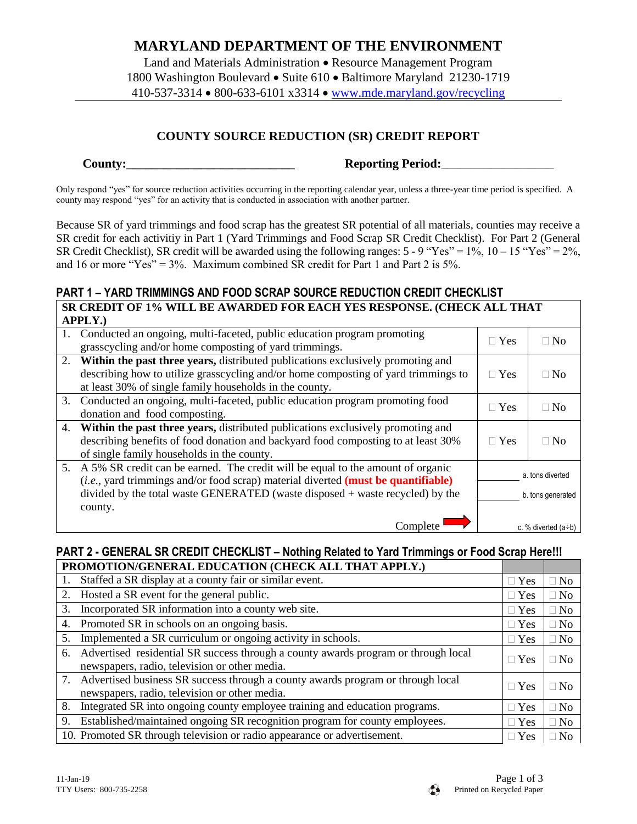## **MARYLAND DEPARTMENT OF THE ENVIRONMENT**

Land and Materials Administration • Resource Management Program 1800 Washington Boulevard • Suite 610 • Baltimore Maryland 21230-1719 410-537-3314 800-633-6101 x3314 [www.mde.maryland.gov/recycling](http://www.mde.maryland.gov/recycling)

### **COUNTY SOURCE REDUCTION (SR) CREDIT REPORT**

**County: County: Reporting Period:** 

Only respond "yes" for source reduction activities occurring in the reporting calendar year, unless a three-year time period is specified. A county may respond "yes" for an activity that is conducted in association with another partner.

Because SR of yard trimmings and food scrap has the greatest SR potential of all materials, counties may receive a SR credit for each activitiy in Part 1 (Yard Trimmings and Food Scrap SR Credit Checklist). For Part 2 (General SR Credit Checklist), SR credit will be awarded using the following ranges:  $5 - 9$  "Yes" = 1%,  $10 - 15$  "Yes" = 2%, and 16 or more "Yes" =  $3\%$ . Maximum combined SR credit for Part 1 and Part 2 is  $5\%$ . 

### **PART 1 – YARD TRIMMINGS AND FOOD SCRAP SOURCE REDUCTION CREDIT CHECKLIST SR CREDIT OF 1% WILL BE AWARDED FOR EACH YES RESPONSE. (CHECK ALL THAT APPLY.)**

|    | 1. Conducted an ongoing, multi-faceted, public education program promoting<br>grasscycling and/or home composting of yard trimmings.                                                      | $\Box$ Yes        | $\Box$ No             |
|----|-------------------------------------------------------------------------------------------------------------------------------------------------------------------------------------------|-------------------|-----------------------|
| 2. | Within the past three years, distributed publications exclusively promoting and<br>describing how to utilize grasscycling and/or home composting of yard trimmings to                     | $\Box$ Yes        | $\Box$ No             |
|    | at least 30% of single family households in the county.                                                                                                                                   |                   |                       |
|    | 3. Conducted an ongoing, multi-faceted, public education program promoting food<br>donation and food composting.                                                                          | $\Box$ Yes        | $\Box$ No             |
|    | 4. Within the past three years, distributed publications exclusively promoting and                                                                                                        |                   |                       |
|    | describing benefits of food donation and backyard food composting to at least 30%                                                                                                         | $\Box$ Yes        | $\Box$ No             |
|    | of single family households in the county.                                                                                                                                                |                   |                       |
|    | 5. A 5% SR credit can be earned. The credit will be equal to the amount of organic<br>( <i>i.e.</i> , yard trimmings and/or food scrap) material diverted ( <b>must be quantifiable</b> ) | a. tons diverted  |                       |
|    | divided by the total waste GENERATED (waste disposed + waste recycled) by the                                                                                                             | b. tons generated |                       |
|    | county.                                                                                                                                                                                   |                   |                       |
|    | Complete                                                                                                                                                                                  |                   | c. % diverted $(a+b)$ |

# **PART 2 - GENERAL SR CREDIT CHECKLIST – Nothing Related to Yard Trimmings or Food Scrap Here!!!**

| PROMOTION/GENERAL EDUCATION (CHECK ALL THAT APPLY.) |                                                                                    |              |                |
|-----------------------------------------------------|------------------------------------------------------------------------------------|--------------|----------------|
|                                                     | Staffed a SR display at a county fair or similar event.                            | $\Box$ Yes   | $\Box$ No      |
| 2.                                                  | Hosted a SR event for the general public.                                          | $\Box$ Yes   | $\Box$ No      |
| 3.                                                  | Incorporated SR information into a county web site.                                | $\Box$ Yes   | $\exists$ No   |
|                                                     | 4. Promoted SR in schools on an ongoing basis.                                     | $\Box$ Yes   | $\Box$ No      |
| 5.                                                  | Implemented a SR curriculum or ongoing activity in schools.                        | $\Box$ Yes   | $\exists$ No   |
| 6.                                                  | Advertised residential SR success through a county awards program or through local | $\Box$ Yes   | N <sub>0</sub> |
|                                                     | newspapers, radio, television or other media.                                      |              |                |
|                                                     | 7. Advertised business SR success through a county awards program or through local | $\Box$ Yes   | N <sub>0</sub> |
|                                                     | newspapers, radio, television or other media.                                      |              |                |
| 8.                                                  | Integrated SR into ongoing county employee training and education programs.        | $\Box$ Yes   | $\Box$ No      |
| 9.                                                  | Established/maintained ongoing SR recognition program for county employees.        | $\sqcap$ Yes | $\Box$ No      |
|                                                     | 10. Promoted SR through television or radio appearance or advertisement.           | $\Box$ Yes   | N <sub>0</sub> |

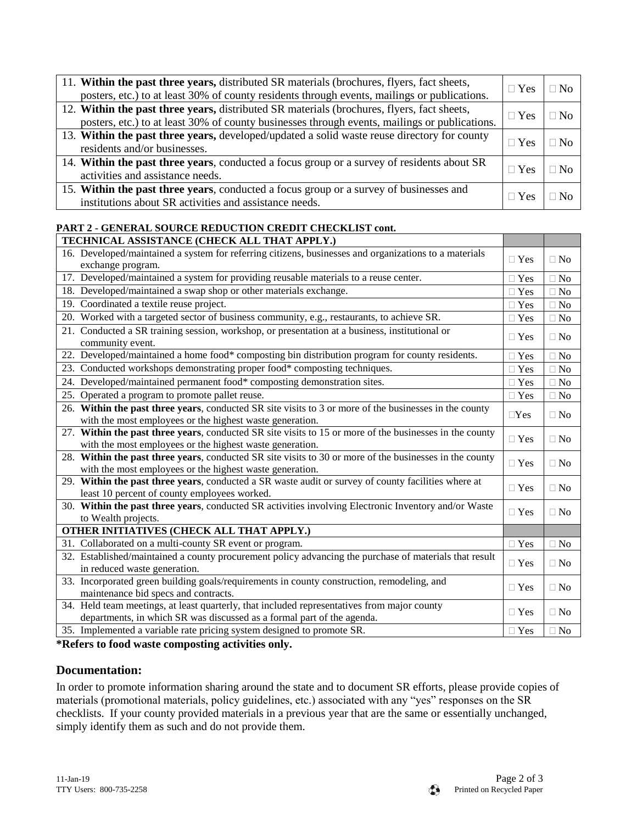| 11. Within the past three years, distributed SR materials (brochures, flyers, fact sheets,<br>posters, etc.) to at least 30% of county residents through events, mailings or publications.  | $\Box$ Yes | N <sub>0</sub> |
|---------------------------------------------------------------------------------------------------------------------------------------------------------------------------------------------|------------|----------------|
| 12. Within the past three years, distributed SR materials (brochures, flyers, fact sheets,<br>posters, etc.) to at least 30% of county businesses through events, mailings or publications. | $\Box$ Yes | N <sub>0</sub> |
| 13. Within the past three years, developed/updated a solid waste reuse directory for county<br>residents and/or businesses.                                                                 | $\Box$ Yes | No.            |
| 14. Within the past three years, conducted a focus group or a survey of residents about SR<br>activities and assistance needs.                                                              | $\Box$ Yes | -No            |
| 15. Within the past three years, conducted a focus group or a survey of businesses and<br>institutions about SR activities and assistance needs.                                            | ∃ Yes      |                |

### **PART 2 - GENERAL SOURCE REDUCTION CREDIT CHECKLIST cont.**

| TECHNICAL ASSISTANCE (CHECK ALL THAT APPLY.)                                                                                                                          |            |           |
|-----------------------------------------------------------------------------------------------------------------------------------------------------------------------|------------|-----------|
| 16. Developed/maintained a system for referring citizens, businesses and organizations to a materials<br>exchange program.                                            | $\Box$ Yes | $\Box$ No |
| 17. Developed/maintained a system for providing reusable materials to a reuse center.                                                                                 | $\Box$ Yes | $\Box$ No |
| 18. Developed/maintained a swap shop or other materials exchange.                                                                                                     | $\Box$ Yes | $\Box$ No |
| 19. Coordinated a textile reuse project.                                                                                                                              | $\Box$ Yes | $\Box$ No |
| 20. Worked with a targeted sector of business community, e.g., restaurants, to achieve SR.                                                                            | $\Box$ Yes | $\Box$ No |
| 21. Conducted a SR training session, workshop, or presentation at a business, institutional or<br>community event.                                                    | $\Box$ Yes | $\Box$ No |
| 22. Developed/maintained a home food* composting bin distribution program for county residents.                                                                       | $\Box$ Yes | $\Box$ No |
| 23. Conducted workshops demonstrating proper food* composting techniques.                                                                                             | $\Box$ Yes | $\Box$ No |
| 24. Developed/maintained permanent food* composting demonstration sites.                                                                                              | $\Box$ Yes | $\Box$ No |
| 25. Operated a program to promote pallet reuse.                                                                                                                       | $\Box$ Yes | $\Box$ No |
| 26. Within the past three years, conducted SR site visits to 3 or more of the businesses in the county<br>with the most employees or the highest waste generation.    | $\Box$ Yes | $\Box$ No |
| 27. Within the past three years, conducted SR site visits to 15 or more of the businesses in the county<br>with the most employees or the highest waste generation.   | $\Box$ Yes | $\Box$ No |
| 28. Within the past three years, conducted SR site visits to 30 or more of the businesses in the county<br>with the most employees or the highest waste generation.   | $\Box$ Yes | $\Box$ No |
| 29. Within the past three years, conducted a SR waste audit or survey of county facilities where at<br>least 10 percent of county employees worked.                   | $\Box$ Yes | $\Box$ No |
| 30. Within the past three years, conducted SR activities involving Electronic Inventory and/or Waste<br>to Wealth projects.                                           | $\Box$ Yes | $\Box$ No |
| OTHER INITIATIVES (CHECK ALL THAT APPLY.)                                                                                                                             |            |           |
| 31. Collaborated on a multi-county SR event or program.                                                                                                               | $\Box$ Yes | $\Box$ No |
| 32. Established/maintained a county procurement policy advancing the purchase of materials that result<br>in reduced waste generation.                                | $\Box$ Yes | $\Box$ No |
| 33. Incorporated green building goals/requirements in county construction, remodeling, and<br>maintenance bid specs and contracts.                                    | $\Box$ Yes | $\Box$ No |
| 34. Held team meetings, at least quarterly, that included representatives from major county<br>departments, in which SR was discussed as a formal part of the agenda. | $\Box$ Yes | $\Box$ No |
| 35. Implemented a variable rate pricing system designed to promote SR.                                                                                                | $\Box$ Yes | $\Box$ No |

**\*Refers to food waste composting activities only.**

### **Documentation:**

In order to promote information sharing around the state and to document SR efforts, please provide copies of materials (promotional materials, policy guidelines, etc.) associated with any "yes" responses on the SR checklists. If your county provided materials in a previous year that are the same or essentially unchanged, simply identify them as such and do not provide them.